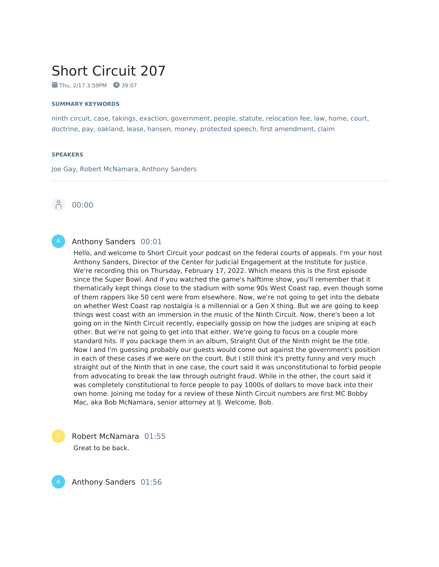# Short Circuit 207

 $\blacksquare$  Thu, 2/17 3:59PM  $\blacksquare$  39:07

#### **SUMMARY KEYWORDS**

ninth circuit, case, takings, exaction, government, people, statute, relocation fee, law, home, court, doctrine, pay, oakland, lease, hansen, money, protected speech, first amendment, claim

#### **SPEAKERS**

Joe Gay, Robert McNamara, Anthony Sanders



#### Anthony Sanders 00:01

Hello, and welcome to Short Circuit your podcast on the federal courts of appeals. I'm your host Anthony Sanders, Director of the Center for Judicial Engagement at the Institute for Justice. We're recording this on Thursday, February 17, 2022. Which means this is the first episode since the Super Bowl. And if you watched the game's halftime show, you'll remember that it thematically kept things close to the stadium with some 90s West Coast rap, even though some of them rappers like 50 cent were from elsewhere. Now, we're not going to get into the debate on whether West Coast rap nostalgia is a millennial or a Gen X thing. But we are going to keep things west coast with an immersion in the music of the Ninth Circuit. Now, there's been a lot going on in the Ninth Circuit recently, especially gossip on how the judges are sniping at each other. But we're not going to get into that either. We're going to focus on a couple more standard hits. If you package them in an album, Straight Out of the Ninth might be the title. Now I and I'm guessing probably our guests would come out against the government's position in each of these cases if we were on the court. But I still think it's pretty funny and very much straight out of the Ninth that in one case, the court said it was unconstitutional to forbid people from advocating to break the law through outright fraud. While in the other, the court said it was completely constitutional to force people to pay 1000s of dollars to move back into their own home. Joining me today for a review of these Ninth Circuit numbers are first MC Bobby Mac, aka Bob McNamara, senior attorney at IJ. Welcome, Bob.

Robert McNamara 01:55 Great to be back.



Anthony Sanders 01:56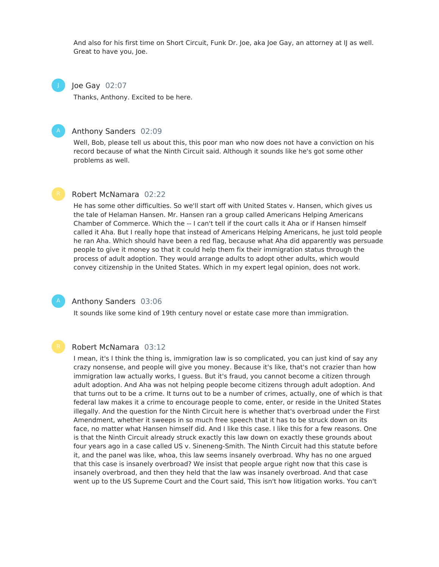And also for his first time on Short Circuit, Funk Dr. Joe, aka Joe Gay, an attorney at IJ as well. Great to have you, Joe.

Joe Gay 02:07

J

Thanks, Anthony. Excited to be here.

#### Anthony Sanders 02:09

Well, Bob, please tell us about this, this poor man who now does not have a conviction on his record because of what the Ninth Circuit said. Although it sounds like he's got some other problems as well.

# Robert McNamara 02:22

He has some other difficulties. So we'll start off with United States v. Hansen, which gives us the tale of Helaman Hansen. Mr. Hansen ran a group called Americans Helping Americans Chamber of Commerce. Which the -- I can't tell if the court calls it Aha or if Hansen himself called it Aha. But I really hope that instead of Americans Helping Americans, he just told people he ran Aha. Which should have been a red flag, because what Aha did apparently was persuade people to give it money so that it could help them fix their immigration status through the process of adult adoption. They would arrange adults to adopt other adults, which would convey citizenship in the United States. Which in my expert legal opinion, does not work.

# Anthony Sanders 03:06

It sounds like some kind of 19th century novel or estate case more than immigration.

#### Robert McNamara 03:12

I mean, it's I think the thing is, immigration law is so complicated, you can just kind of say any crazy nonsense, and people will give you money. Because it's like, that's not crazier than how immigration law actually works, I guess. But it's fraud, you cannot become a citizen through adult adoption. And Aha was not helping people become citizens through adult adoption. And that turns out to be a crime. It turns out to be a number of crimes, actually, one of which is that federal law makes it a crime to encourage people to come, enter, or reside in the United States illegally. And the question for the Ninth Circuit here is whether that's overbroad under the First Amendment, whether it sweeps in so much free speech that it has to be struck down on its face, no matter what Hansen himself did. And I like this case. I like this for a few reasons. One is that the Ninth Circuit already struck exactly this law down on exactly these grounds about four years ago in a case called US v. Sineneng-Smith. The Ninth Circuit had this statute before it, and the panel was like, whoa, this law seems insanely overbroad. Why has no one argued that this case is insanely overbroad? We insist that people argue right now that this case is insanely overbroad, and then they held that the law was insanely overbroad. And that case went up to the US Supreme Court and the Court said, This isn't how litigation works. You can't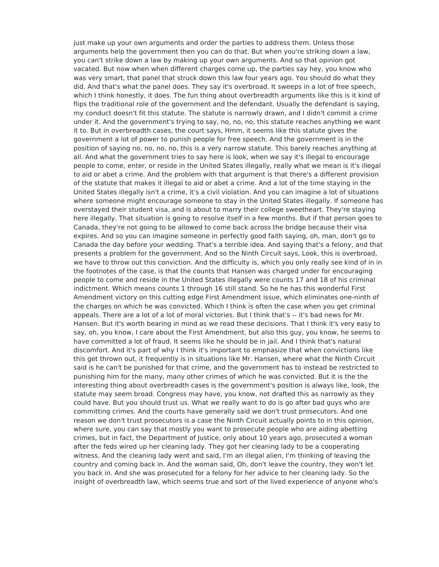just make up your own arguments and order the parties to address them. Unless those arguments help the government then you can do that. But when you're striking down a law, you can't strike down a law by making up your own arguments. And so that opinion got vacated. But now when when different charges come up, the parties say hey, you know who was very smart, that panel that struck down this law four years ago. You should do what they did. And that's what the panel does. They say it's overbroad. It sweeps in a lot of free speech, which I think honestly, it does. The fun thing about overbreadth arguments like this is it kind of flips the traditional role of the government and the defendant. Usually the defendant is saying, my conduct doesn't fit this statute. The statute is narrowly drawn, and I didn't commit a crime under it. And the government's trying to say, no, no, no, this statute reaches anything we want it to. But in overbreadth cases, the court says, Hmm, it seems like this statute gives the government a lot of power to punish people for free speech. And the government is in the position of saying no, no, no, no, this is a very narrow statute. This barely reaches anything at all. And what the government tries to say here is look, when we say it's illegal to encourage people to come, enter, or reside in the United States illegally, really what we mean is it's illegal to aid or abet a crime. And the problem with that argument is that there's a different provision of the statute that makes it illegal to aid or abet a crime. And a lot of the time staying in the United States illegally isn't a crime, it's a civil violation. And you can imagine a lot of situations where someone might encourage someone to stay in the United States illegally. If someone has overstayed their student visa, and is about to marry their college sweetheart. They're staying here illegally. That situation is going to resolve itself in a few months. But if that person goes to Canada, they're not going to be allowed to come back across the bridge because their visa expires. And so you can imagine someone in perfectly good faith saying, oh, man, don't go to Canada the day before your wedding. That's a terrible idea. And saying that's a felony, and that presents a problem for the government. And so the Ninth Circuit says, Look, this is overbroad, we have to throw out this conviction. And the difficulty is, which you only really see kind of in in the footnotes of the case, is that the counts that Hansen was charged under for encouraging people to come and reside in the United States illegally were counts 17 and 18 of his criminal indictment. Which means counts 1 through 16 still stand. So he he has this wonderful First Amendment victory on this cutting edge First Amendment issue, which eliminates one-ninth of the charges on which he was convicted. Which I think is often the case when you get criminal appeals. There are a lot of a lot of moral victories. But I think that's -- it's bad news for Mr. Hansen. But it's worth bearing in mind as we read these decisions. That I think it's very easy to say, oh, you know, I care about the First Amendment, but also this guy, you know, he seems to have committed a lot of fraud. It seems like he should be in jail. And I think that's natural discomfort. And it's part of why I think it's important to emphasize that when convictions like this get thrown out, it frequently is in situations like Mr. Hansen, where what the Ninth Circuit said is he can't be punished for that crime, and the government has to instead be restricted to punishing him for the many, many other crimes of which he was convicted. But it is the the interesting thing about overbreadth cases is the government's position is always like, look, the statute may seem broad. Congress may have, you know, not drafted this as narrowly as they could have. But you should trust us. What we really want to do is go after bad guys who are committing crimes. And the courts have generally said we don't trust prosecutors. And one reason we don't trust prosecutors is a case the Ninth Circuit actually points to in this opinion, where sure, you can say that mostly you want to prosecute people who are aiding abetting crimes, but in fact, the Department of Justice, only about 10 years ago, prosecuted a woman after the feds wired up her cleaning lady. They got her cleaning lady to be a cooperating witness. And the cleaning lady went and said, I'm an illegal alien, I'm thinking of leaving the country and coming back in. And the woman said, Oh, don't leave the country, they won't let you back in. And she was prosecuted for a felony for her advice to her cleaning lady. So the insight of overbreadth law, which seems true and sort of the lived experience of anyone who's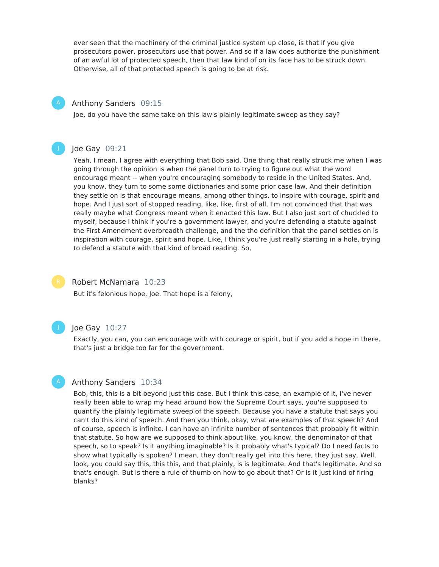ever seen that the machinery of the criminal justice system up close, is that if you give prosecutors power, prosecutors use that power. And so if a law does authorize the punishment of an awful lot of protected speech, then that law kind of on its face has to be struck down. Otherwise, all of that protected speech is going to be at risk.

#### Anthony Sanders 09:15

Joe, do you have the same take on this law's plainly legitimate sweep as they say?



# Joe Gay 09:21

Yeah, I mean, I agree with everything that Bob said. One thing that really struck me when I was going through the opinion is when the panel turn to trying to figure out what the word encourage meant -- when you're encouraging somebody to reside in the United States. And, you know, they turn to some some dictionaries and some prior case law. And their definition they settle on is that encourage means, among other things, to inspire with courage, spirit and hope. And I just sort of stopped reading, like, like, first of all, I'm not convinced that that was really maybe what Congress meant when it enacted this law. But I also just sort of chuckled to myself, because I think if you're a government lawyer, and you're defending a statute against the First Amendment overbreadth challenge, and the the definition that the panel settles on is inspiration with courage, spirit and hope. Like, I think you're just really starting in a hole, trying to defend a statute with that kind of broad reading. So,



#### Robert McNamara 10:23

But it's felonious hope, Joe. That hope is a felony,



#### Joe Gay 10:27

Exactly, you can, you can encourage with with courage or spirit, but if you add a hope in there, that's just a bridge too far for the government.

# Anthony Sanders 10:34

Bob, this, this is a bit beyond just this case. But I think this case, an example of it, I've never really been able to wrap my head around how the Supreme Court says, you're supposed to quantify the plainly legitimate sweep of the speech. Because you have a statute that says you can't do this kind of speech. And then you think, okay, what are examples of that speech? And of course, speech is infinite. I can have an infinite number of sentences that probably fit within that statute. So how are we supposed to think about like, you know, the denominator of that speech, so to speak? Is it anything imaginable? Is it probably what's typical? Do I need facts to show what typically is spoken? I mean, they don't really get into this here, they just say, Well, look, you could say this, this this, and that plainly, is is legitimate. And that's legitimate. And so that's enough. But is there a rule of thumb on how to go about that? Or is it just kind of firing blanks?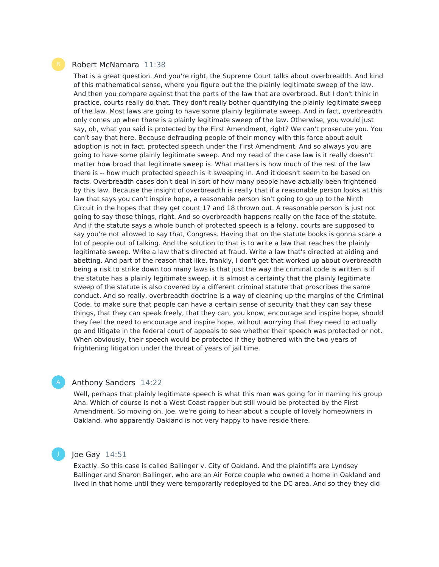#### Robert McNamara 11:38

That is a great question. And you're right, the Supreme Court talks about overbreadth. And kind of this mathematical sense, where you figure out the the plainly legitimate sweep of the law. And then you compare against that the parts of the law that are overbroad. But I don't think in practice, courts really do that. They don't really bother quantifying the plainly legitimate sweep of the law. Most laws are going to have some plainly legitimate sweep. And in fact, overbreadth only comes up when there is a plainly legitimate sweep of the law. Otherwise, you would just say, oh, what you said is protected by the First Amendment, right? We can't prosecute you. You can't say that here. Because defrauding people of their money with this farce about adult adoption is not in fact, protected speech under the First Amendment. And so always you are going to have some plainly legitimate sweep. And my read of the case law is it really doesn't matter how broad that legitimate sweep is. What matters is how much of the rest of the law there is -- how much protected speech is it sweeping in. And it doesn't seem to be based on facts. Overbreadth cases don't deal in sort of how many people have actually been frightened by this law. Because the insight of overbreadth is really that if a reasonable person looks at this law that says you can't inspire hope, a reasonable person isn't going to go up to the Ninth Circuit in the hopes that they get count 17 and 18 thrown out. A reasonable person is just not going to say those things, right. And so overbreadth happens really on the face of the statute. And if the statute says a whole bunch of protected speech is a felony, courts are supposed to say you're not allowed to say that, Congress. Having that on the statute books is gonna scare a lot of people out of talking. And the solution to that is to write a law that reaches the plainly legitimate sweep. Write a law that's directed at fraud. Write a law that's directed at aiding and abetting. And part of the reason that like, frankly, I don't get that worked up about overbreadth being a risk to strike down too many laws is that just the way the criminal code is written is if the statute has a plainly legitimate sweep, it is almost a certainty that the plainly legitimate sweep of the statute is also covered by a different criminal statute that proscribes the same conduct. And so really, overbreadth doctrine is a way of cleaning up the margins of the Criminal Code, to make sure that people can have a certain sense of security that they can say these things, that they can speak freely, that they can, you know, encourage and inspire hope, should they feel the need to encourage and inspire hope, without worrying that they need to actually go and litigate in the federal court of appeals to see whether their speech was protected or not. When obviously, their speech would be protected if they bothered with the two years of frightening litigation under the threat of years of jail time.

# Anthony Sanders 14:22

Well, perhaps that plainly legitimate speech is what this man was going for in naming his group Aha. Which of course is not a West Coast rapper but still would be protected by the First Amendment. So moving on, Joe, we're going to hear about a couple of lovely homeowners in Oakland, who apparently Oakland is not very happy to have reside there.



#### Joe Gay 14:51

Exactly. So this case is called Ballinger v. City of Oakland. And the plaintiffs are Lyndsey Ballinger and Sharon Ballinger, who are an Air Force couple who owned a home in Oakland and lived in that home until they were temporarily redeployed to the DC area. And so they they did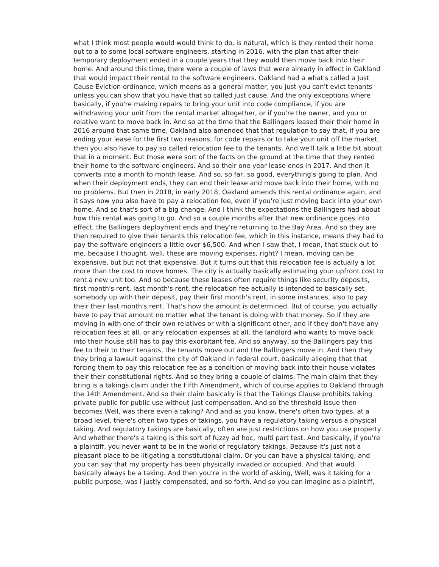what I think most people would would think to do, is natural, which is they rented their home out to a to some local software engineers, starting in 2016, with the plan that after their temporary deployment ended in a couple years that they would then move back into their home. And around this time, there were a couple of laws that were already in effect in Oakland that would impact their rental to the software engineers. Oakland had a what's called a Just Cause Eviction ordinance, which means as a general matter, you just you can't evict tenants unless you can show that you have that so called just cause. And the only exceptions where basically, if you're making repairs to bring your unit into code compliance, if you are withdrawing your unit from the rental market altogether, or if you're the owner, and you or relative want to move back in. And so at the time that the Ballingers leased their their home in 2016 around that same time, Oakland also amended that that regulation to say that, if you are ending your lease for the first two reasons, for code repairs or to take your unit off the market, then you also have to pay so called relocation fee to the tenants. And we'll talk a little bit about that in a moment. But those were sort of the facts on the ground at the time that they rented their home to the software engineers. And so their one year lease ends in 2017. And then it converts into a month to month lease. And so, so far, so good, everything's going to plan. And when their deployment ends, they can end their lease and move back into their home, with no no problems. But then in 2018, in early 2018, Oakland amends this rental ordinance again, and it says now you also have to pay a relocation fee, even if you're just moving back into your own home. And so that's sort of a big change. And I think the expectations the Ballingers had about how this rental was going to go. And so a couple months after that new ordinance goes into effect, the Ballingers deployment ends and they're returning to the Bay Area. And so they are then required to give their tenants this relocation fee, which in this instance, means they had to pay the software engineers a little over \$6,500. And when I saw that, I mean, that stuck out to me, because I thought, well, these are moving expenses, right? I mean, moving can be expensive, but but not that expensive. But it turns out that this relocation fee is actually a lot more than the cost to move homes. The city is actually basically estimating your upfront cost to rent a new unit too. And so because these leases often require things like security deposits, first month's rent, last month's rent, the relocation fee actually is intended to basically set somebody up with their deposit, pay their first month's rent, in some instances, also to pay their their last month's rent. That's how the amount is determined. But of course, you actually have to pay that amount no matter what the tenant is doing with that money. So if they are moving in with one of their own relatives or with a significant other, and if they don't have any relocation fees at all, or any relocation expenses at all, the landlord who wants to move back into their house still has to pay this exorbitant fee. And so anyway, so the Ballingers pay this fee to their to their tenants, the tenants move out and the Ballingers move in. And then they they bring a lawsuit against the city of Oakland in federal court, basically alleging that that forcing them to pay this relocation fee as a condition of moving back into their house violates their their constitutional rights. And so they bring a couple of claims. The main claim that they bring is a takings claim under the Fifth Amendment, which of course applies to Oakland through the 14th Amendment. And so their claim basically is that the Takings Clause prohibits taking private public for public use without just compensation. And so the threshold issue then becomes Well, was there even a taking? And and as you know, there's often two types, at a broad level, there's often two types of takings, you have a regulatory taking versus a physical taking. And regulatory takings are basically, often are just restrictions on how you use property. And whether there's a taking is this sort of fuzzy ad hoc, multi part test. And basically, if you're a plaintiff, you never want to be in the world of regulatory takings. Because it's just not a pleasant place to be litigating a constitutional claim. Or you can have a physical taking, and you can say that my property has been physically invaded or occupied. And that would basically always be a taking. And then you're in the world of asking, Well, was it taking for a public purpose, was I justly compensated, and so forth. And so you can imagine as a plaintiff,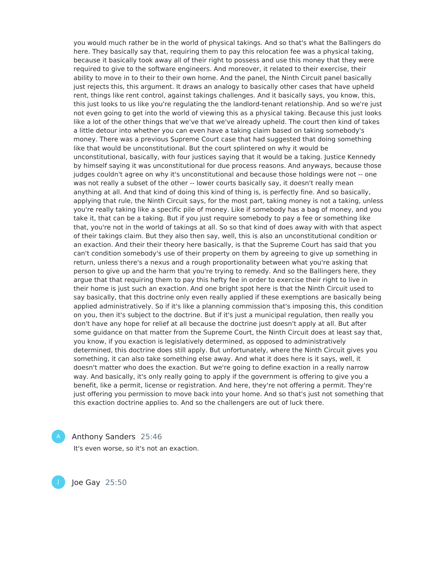you would much rather be in the world of physical takings. And so that's what the Ballingers do here. They basically say that, requiring them to pay this relocation fee was a physical taking, because it basically took away all of their right to possess and use this money that they were required to give to the software engineers. And moreover, it related to their exercise, their ability to move in to their to their own home. And the panel, the Ninth Circuit panel basically just rejects this, this argument. It draws an analogy to basically other cases that have upheld rent, things like rent control, against takings challenges. And it basically says, you know, this, this just looks to us like you're regulating the the landlord-tenant relationship. And so we're just not even going to get into the world of viewing this as a physical taking. Because this just looks like a lot of the other things that we've that we've already upheld. The court then kind of takes a little detour into whether you can even have a taking claim based on taking somebody's money. There was a previous Supreme Court case that had suggested that doing something like that would be unconstitutional. But the court splintered on why it would be unconstitutional, basically, with four justices saying that it would be a taking. Justice Kennedy by himself saying it was unconstitutional for due process reasons. And anyways, because those judges couldn't agree on why it's unconstitutional and because those holdings were not -- one was not really a subset of the other -- lower courts basically say, it doesn't really mean anything at all. And that kind of doing this kind of thing is, is perfectly fine. And so basically, applying that rule, the Ninth Circuit says, for the most part, taking money is not a taking, unless you're really taking like a specific pile of money. Like if somebody has a bag of money, and you take it, that can be a taking. But if you just require somebody to pay a fee or something like that, you're not in the world of takings at all. So so that kind of does away with with that aspect of their takings claim. But they also then say, well, this is also an unconstitutional condition or an exaction. And their their theory here basically, is that the Supreme Court has said that you can't condition somebody's use of their property on them by agreeing to give up something in return, unless there's a nexus and a rough proportionality between what you're asking that person to give up and the harm that you're trying to remedy. And so the Ballingers here, they argue that that requiring them to pay this hefty fee in order to exercise their right to live in their home is just such an exaction. And one bright spot here is that the Ninth Circuit used to say basically, that this doctrine only even really applied if these exemptions are basically being applied administratively. So if it's like a planning commission that's imposing this, this condition on you, then it's subject to the doctrine. But if it's just a municipal regulation, then really you don't have any hope for relief at all because the doctrine just doesn't apply at all. But after some guidance on that matter from the Supreme Court, the Ninth Circuit does at least say that, you know, if you exaction is legislatively determined, as opposed to administratively determined, this doctrine does still apply. But unfortunately, where the Ninth Circuit gives you something, it can also take something else away. And what it does here is it says, well, it doesn't matter who does the exaction. But we're going to define exaction in a really narrow way. And basically, it's only really going to apply if the government is offering to give you a benefit, like a permit, license or registration. And here, they're not offering a permit. They're just offering you permission to move back into your home. And so that's just not something that this exaction doctrine applies to. And so the challengers are out of luck there.

Anthony Sanders 25:46

It's even worse, so it's not an exaction.

Joe Gay 25:50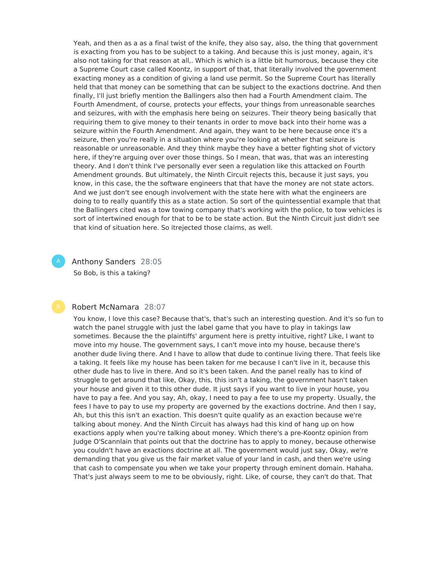Yeah, and then as a as a final twist of the knife, they also say, also, the thing that government is exacting from you has to be subject to a taking. And because this is just money, again, it's also not taking for that reason at all,. Which is which is a little bit humorous, because they cite a Supreme Court case called Koontz, in support of that, that literally involved the government exacting money as a condition of giving a land use permit. So the Supreme Court has literally held that that money can be something that can be subject to the exactions doctrine. And then finally, I'll just briefly mention the Ballingers also then had a Fourth Amendment claim. The Fourth Amendment, of course, protects your effects, your things from unreasonable searches and seizures, with with the emphasis here being on seizures. Their theory being basically that requiring them to give money to their tenants in order to move back into their home was a seizure within the Fourth Amendment. And again, they want to be here because once it's a seizure, then you're really in a situation where you're looking at whether that seizure is reasonable or unreasonable. And they think maybe they have a better fighting shot of victory here, if they're arguing over over those things. So I mean, that was, that was an interesting theory. And I don't think I've personally ever seen a regulation like this attacked on Fourth Amendment grounds. But ultimately, the Ninth Circuit rejects this, because it just says, you know, in this case, the the software engineers that that have the money are not state actors. And we just don't see enough involvement with the state here with what the engineers are doing to to really quantify this as a state action. So sort of the quintessential example that that the Ballingers cited was a tow towing company that's working with the police, to tow vehicles is sort of intertwined enough for that to be to be state action. But the Ninth Circuit just didn't see that kind of situation here. So itrejected those claims, as well.

Anthony Sanders 28:05 So Bob, is this a taking?

### Robert McNamara 28:07

You know, I love this case? Because that's, that's such an interesting question. And it's so fun to watch the panel struggle with just the label game that you have to play in takings law sometimes. Because the the plaintiffs' argument here is pretty intuitive, right? Like, I want to move into my house. The government says, I can't move into my house, because there's another dude living there. And I have to allow that dude to continue living there. That feels like a taking. It feels like my house has been taken for me because I can't live in it, because this other dude has to live in there. And so it's been taken. And the panel really has to kind of struggle to get around that like, Okay, this, this isn't a taking, the government hasn't taken your house and given it to this other dude. It just says if you want to live in your house, you have to pay a fee. And you say, Ah, okay, I need to pay a fee to use my property. Usually, the fees I have to pay to use my property are governed by the exactions doctrine. And then I say, Ah, but this this isn't an exaction. This doesn't quite qualify as an exaction because we're talking about money. And the Ninth Circuit has always had this kind of hang up on how exactions apply when you're talking about money. Which there's a pre-Koontz opinion from Judge O'Scannlain that points out that the doctrine has to apply to money, because otherwise you couldn't have an exactions doctrine at all. The government would just say, Okay, we're demanding that you give us the fair market value of your land in cash, and then we're using that cash to compensate you when we take your property through eminent domain. Hahaha. That's just always seem to me to be obviously, right. Like, of course, they can't do that. That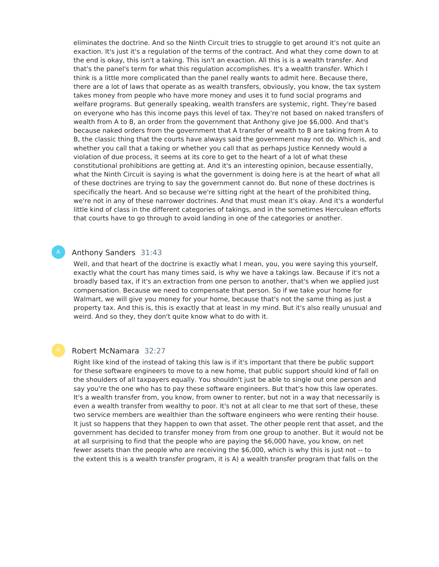eliminates the doctrine. And so the Ninth Circuit tries to struggle to get around it's not quite an exaction. It's just it's a regulation of the terms of the contract. And what they come down to at the end is okay, this isn't a taking. This isn't an exaction. All this is is a wealth transfer. And that's the panel's term for what this regulation accomplishes. It's a wealth transfer. Which I think is a little more complicated than the panel really wants to admit here. Because there, there are a lot of laws that operate as as wealth transfers, obviously, you know, the tax system takes money from people who have more money and uses it to fund social programs and welfare programs. But generally speaking, wealth transfers are systemic, right. They're based on everyone who has this income pays this level of tax. They're not based on naked transfers of wealth from A to B, an order from the government that Anthony give Joe \$6,000. And that's because naked orders from the government that A transfer of wealth to B are taking from A to B, the classic thing that the courts have always said the government may not do. Which is, and whether you call that a taking or whether you call that as perhaps Justice Kennedy would a violation of due process, it seems at its core to get to the heart of a lot of what these constitutional prohibitions are getting at. And it's an interesting opinion, because essentially, what the Ninth Circuit is saying is what the government is doing here is at the heart of what all of these doctrines are trying to say the government cannot do. But none of these doctrines is specifically the heart. And so because we're sitting right at the heart of the prohibited thing, we're not in any of these narrower doctrines. And that must mean it's okay. And it's a wonderful little kind of class in the different categories of takings, and in the sometimes Herculean efforts that courts have to go through to avoid landing in one of the categories or another.

# Anthony Sanders 31:43

Well, and that heart of the doctrine is exactly what I mean, you, you were saying this yourself, exactly what the court has many times said, is why we have a takings law. Because if it's not a broadly based tax, if it's an extraction from one person to another, that's when we applied just compensation. Because we need to compensate that person. So if we take your home for Walmart, we will give you money for your home, because that's not the same thing as just a property tax. And this is, this is exactly that at least in my mind. But it's also really unusual and weird. And so they, they don't quite know what to do with it.

# Robert McNamara 32:27

Right like kind of the instead of taking this law is if it's important that there be public support for these software engineers to move to a new home, that public support should kind of fall on the shoulders of all taxpayers equally. You shouldn't just be able to single out one person and say you're the one who has to pay these software engineers. But that's how this law operates. It's a wealth transfer from, you know, from owner to renter, but not in a way that necessarily is even a wealth transfer from wealthy to poor. It's not at all clear to me that sort of these, these two service members are wealthier than the software engineers who were renting their house. It just so happens that they happen to own that asset. The other people rent that asset, and the government has decided to transfer money from from one group to another. But it would not be at all surprising to find that the people who are paying the \$6,000 have, you know, on net fewer assets than the people who are receiving the \$6,000, which is why this is just not -- to the extent this is a wealth transfer program, it is A) a wealth transfer program that falls on the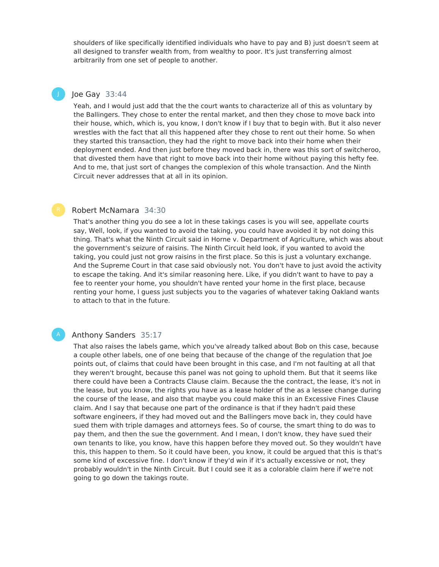shoulders of like specifically identified individuals who have to pay and B) just doesn't seem at all designed to transfer wealth from, from wealthy to poor. It's just transferring almost arbitrarily from one set of people to another.

# Joe Gay 33:44

J

Yeah, and I would just add that the the court wants to characterize all of this as voluntary by the Ballingers. They chose to enter the rental market, and then they chose to move back into their house, which, which is, you know, I don't know if I buy that to begin with. But it also never wrestles with the fact that all this happened after they chose to rent out their home. So when they started this transaction, they had the right to move back into their home when their deployment ended. And then just before they moved back in, there was this sort of switcheroo, that divested them have that right to move back into their home without paying this hefty fee. And to me, that just sort of changes the complexion of this whole transaction. And the Ninth Circuit never addresses that at all in its opinion.

# Robert McNamara 34:30

That's another thing you do see a lot in these takings cases is you will see, appellate courts say, Well, look, if you wanted to avoid the taking, you could have avoided it by not doing this thing. That's what the Ninth Circuit said in Horne v. Department of Agriculture, which was about the government's seizure of raisins. The Ninth Circuit held look, if you wanted to avoid the taking, you could just not grow raisins in the first place. So this is just a voluntary exchange. And the Supreme Court in that case said obviously not. You don't have to just avoid the activity to escape the taking. And it's similar reasoning here. Like, if you didn't want to have to pay a fee to reenter your home, you shouldn't have rented your home in the first place, because renting your home, I guess just subjects you to the vagaries of whatever taking Oakland wants to attach to that in the future.

# Anthony Sanders 35:17

That also raises the labels game, which you've already talked about Bob on this case, because a couple other labels, one of one being that because of the change of the regulation that Joe points out, of claims that could have been brought in this case, and I'm not faulting at all that they weren't brought, because this panel was not going to uphold them. But that it seems like there could have been a Contracts Clause claim. Because the the contract, the lease, it's not in the lease, but you know, the rights you have as a lease holder of the as a lessee change during the course of the lease, and also that maybe you could make this in an Excessive Fines Clause claim. And I say that because one part of the ordinance is that if they hadn't paid these software engineers, if they had moved out and the Ballingers move back in, they could have sued them with triple damages and attorneys fees. So of course, the smart thing to do was to pay them, and then the sue the government. And I mean, I don't know, they have sued their own tenants to like, you know, have this happen before they moved out. So they wouldn't have this, this happen to them. So it could have been, you know, it could be argued that this is that's some kind of excessive fine. I don't know if they'd win if it's actually excessive or not, they probably wouldn't in the Ninth Circuit. But I could see it as a colorable claim here if we're not going to go down the takings route.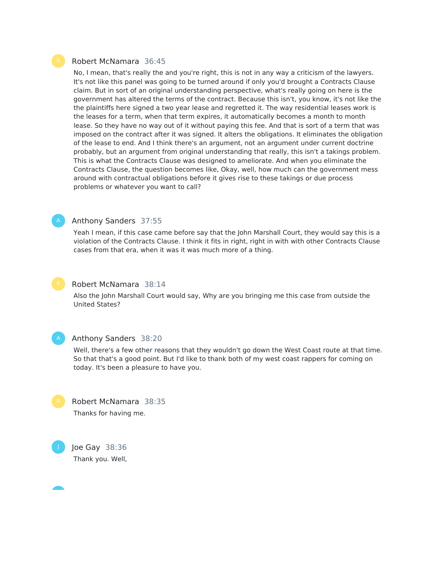### Robert McNamara 36:45

No, I mean, that's really the and you're right, this is not in any way a criticism of the lawyers. It's not like this panel was going to be turned around if only you'd brought a Contracts Clause claim. But in sort of an original understanding perspective, what's really going on here is the government has altered the terms of the contract. Because this isn't, you know, it's not like the the plaintiffs here signed a two year lease and regretted it. The way residential leases work is the leases for a term, when that term expires, it automatically becomes a month to month lease. So they have no way out of it without paying this fee. And that is sort of a term that was imposed on the contract after it was signed. It alters the obligations. It eliminates the obligation of the lease to end. And I think there's an argument, not an argument under current doctrine probably, but an argument from original understanding that really, this isn't a takings problem. This is what the Contracts Clause was designed to ameliorate. And when you eliminate the Contracts Clause, the question becomes like, Okay, well, how much can the government mess around with contractual obligations before it gives rise to these takings or due process problems or whatever you want to call?

### Anthony Sanders 37:55

Yeah I mean, if this case came before say that the John Marshall Court, they would say this is a violation of the Contracts Clause. I think it fits in right, right in with with other Contracts Clause cases from that era, when it was it was much more of a thing.



# Robert McNamara 38:14

Also the John Marshall Court would say, Why are you bringing me this case from outside the United States?



J

#### Anthony Sanders 38:20

Well, there's a few other reasons that they wouldn't go down the West Coast route at that time. So that that's a good point. But I'd like to thank both of my west coast rappers for coming on today. It's been a pleasure to have you.



Joe Gay 38:36 Thank you. Well,